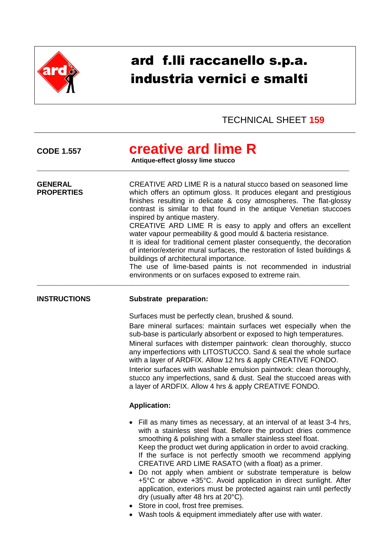

# ard f.lli raccanello s.p.a. industria vernici e smalti

## TECHNICAL SHEET **159**

**CODE 1.557 creative ard lime R**

\_\_\_\_\_\_\_\_\_\_\_\_\_\_\_\_\_\_\_\_\_\_\_\_\_\_\_\_\_\_\_\_\_\_\_\_\_\_\_\_\_\_\_\_\_\_\_\_\_\_\_\_\_\_\_\_\_\_\_\_\_\_\_\_\_\_\_\_\_\_\_\_\_\_\_\_\_\_\_\_\_\_\_\_\_\_\_\_\_\_\_\_\_\_\_\_

**Antique-effect glossy lime stucco**

**GENERAL** CREATIVE ARD LIME R is a natural stucco based on seasoned lime **PROPERTIES** which offers an optimum gloss. It produces elegant and prestigious finishes resulting in delicate & cosy atmospheres. The flat-glossy contrast is similar to that found in the antique Venetian stuccoes inspired by antique mastery. CREATIVE ARD LIME R is easy to apply and offers an excellent water vapour permeability & good mould & bacteria resistance. It is ideal for traditional cement plaster consequently, the decoration of interior/exterior mural surfaces, the restoration of listed buildings & buildings of architectural importance. The use of lime-based paints is not recommended in industrial environments or on surfaces exposed to extreme rain. \_\_\_\_\_\_\_\_\_\_\_\_\_\_\_\_\_\_\_\_\_\_\_\_\_\_\_\_\_\_\_\_\_\_\_\_\_\_\_\_\_\_\_\_\_\_\_\_\_\_\_\_\_\_\_\_\_\_\_\_\_\_\_\_\_\_\_\_\_\_\_\_\_\_\_\_\_\_\_\_\_\_\_\_\_\_\_\_\_\_\_\_\_\_\_\_

### **INSTRUCTIONS Substrate preparation:**

Surfaces must be perfectly clean, brushed & sound.

Bare mineral surfaces: maintain surfaces wet especially when the sub-base is particularly absorbent or exposed to high temperatures. Mineral surfaces with distemper paintwork: clean thoroughly, stucco any imperfections with LITOSTUCCO. Sand & seal the whole surface with a layer of ARDFIX. Allow 12 hrs & apply CREATIVE FONDO. Interior surfaces with washable emulsion paintwork: clean thoroughly, stucco any imperfections, sand & dust. Seal the stuccoed areas with a layer of ARDFIX. Allow 4 hrs & apply CREATIVE FONDO.

### **Application:**

- Fill as many times as necessary, at an interval of at least 3-4 hrs, with a stainless steel float. Before the product dries commence smoothing & polishing with a smaller stainless steel float. Keep the product wet during application in order to avoid cracking. If the surface is not perfectly smooth we recommend applying CREATIVE ARD LIME RASATO (with a float) as a primer.
- Do not apply when ambient or substrate temperature is below +5°C or above +35°C. Avoid application in direct sunlight. After application, exteriors must be protected against rain until perfectly dry (usually after 48 hrs at 20°C).
- Store in cool, frost free premises.
- Wash tools & equipment immediately after use with water.